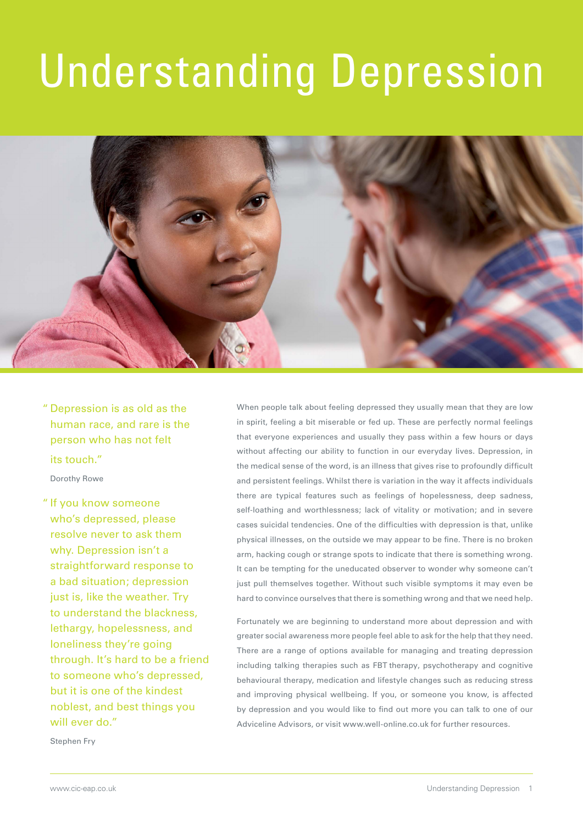# Understanding Depression



" Depression is as old as the human race, and rare is the person who has not felt its touch."

Dorothy Rowe

" If you know someone who's depressed, please resolve never to ask them why. Depression isn't a straightforward response to a bad situation; depression just is, like the weather. Try to understand the blackness, lethargy, hopelessness, and loneliness they're going through. It's hard to be a friend to someone who's depressed, but it is one of the kindest noblest, and best things you will ever do."

When people talk about feeling depressed they usually mean that they are low in spirit, feeling a bit miserable or fed up. These are perfectly normal feelings that everyone experiences and usually they pass within a few hours or days without affecting our ability to function in our everyday lives. Depression, in the medical sense of the word, is an illness that gives rise to profoundly difficult and persistent feelings. Whilst there is variation in the way it affects individuals there are typical features such as feelings of hopelessness, deep sadness, self-loathing and worthlessness; lack of vitality or motivation; and in severe cases suicidal tendencies. One of the difficulties with depression is that, unlike physical illnesses, on the outside we may appear to be fine. There is no broken arm, hacking cough or strange spots to indicate that there is something wrong. It can be tempting for the uneducated observer to wonder why someone can't just pull themselves together. Without such visible symptoms it may even be hard to convince ourselves that there is something wrong and that we need help.

Fortunately we are beginning to understand more about depression and with greater social awareness more people feel able to ask for the help that they need. There are a range of options available for managing and treating depression including talking therapies such as FBT therapy, psychotherapy and cognitive behavioural therapy, medication and lifestyle changes such as reducing stress and improving physical wellbeing. If you, or someone you know, is affected by depression and you would like to find out more you can talk to one of our Adviceline Advisors, or visit www.well-online.co.uk for further resources.

Stephen Fry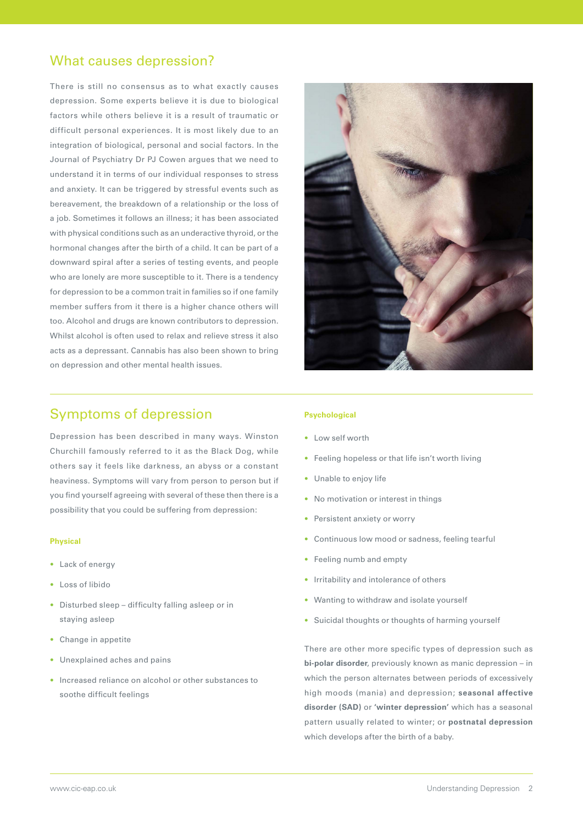## What causes depression?

There is still no consensus as to what exactly causes depression. Some experts believe it is due to biological factors while others believe it is a result of traumatic or difficult personal experiences. It is most likely due to an integration of biological, personal and social factors. In the Journal of Psychiatry Dr PJ Cowen argues that we need to understand it in terms of our individual responses to stress and anxiety. It can be triggered by stressful events such as bereavement, the breakdown of a relationship or the loss of a job. Sometimes it follows an illness; it has been associated with physical conditions such as an underactive thyroid, or the hormonal changes after the birth of a child. It can be part of a downward spiral after a series of testing events, and people who are lonely are more susceptible to it. There is a tendency for depression to be a common trait in families so if one family member suffers from it there is a higher chance others will too. Alcohol and drugs are known contributors to depression. Whilst alcohol is often used to relax and relieve stress it also acts as a depressant. Cannabis has also been shown to bring on depression and other mental health issues.



## Symptoms of depression

Depression has been described in many ways. Winston Churchill famously referred to it as the Black Dog, while others say it feels like darkness, an abyss or a constant heaviness. Symptoms will vary from person to person but if you find yourself agreeing with several of these then there is a possibility that you could be suffering from depression:

#### **Physical**

- Lack of energy
- Loss of libido
- Disturbed sleep difficulty falling asleep or in staying asleep
- Change in appetite
- Unexplained aches and pains
- Increased reliance on alcohol or other substances to soothe difficult feelings

#### **Psychological**

- Low self worth
- Feeling hopeless or that life isn't worth living
- Unable to enjoy life
- No motivation or interest in things
- Persistent anxiety or worry
- Continuous low mood or sadness, feeling tearful
- Feeling numb and empty
- Irritability and intolerance of others
- Wanting to withdraw and isolate yourself
- Suicidal thoughts or thoughts of harming yourself

There are other more specific types of depression such as **bi-polar disorder**, previously known as manic depression – in which the person alternates between periods of excessively high moods (mania) and depression; **seasonal affective disorder (SAD)** or **'winter depression'** which has a seasonal pattern usually related to winter; or **postnatal depression**  which develops after the birth of a baby.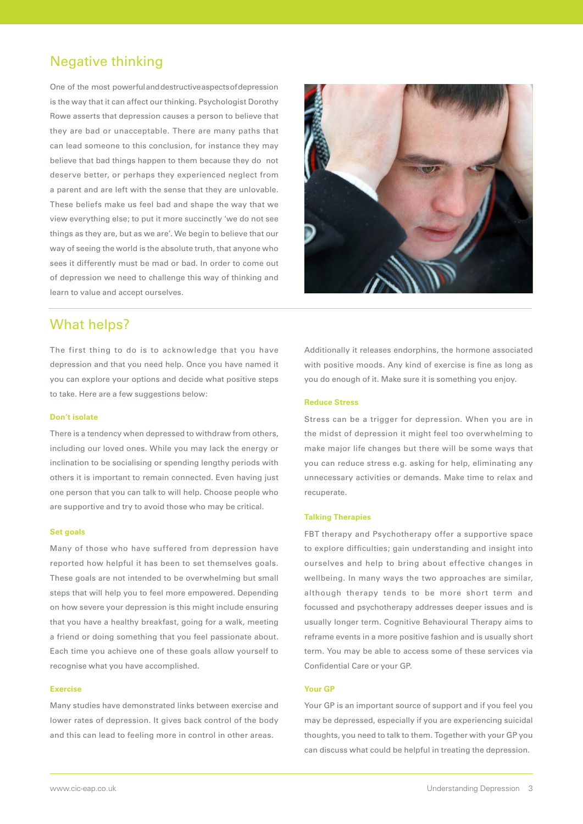## Negative thinking

One of the most powerful and destructive aspects of depression is the way that it can affect our thinking. Psychologist Dorothy Rowe asserts that depression causes a person to believe that they are bad or unacceptable. There are many paths that can lead someone to this conclusion, for instance they may believe that bad things happen to them because they do not deserve better, or perhaps they experienced neglect from a parent and are left with the sense that they are unlovable. These beliefs make us feel bad and shape the way that we view everything else; to put it more succinctly 'we do not see things as they are, but as we are'. We begin to believe that our way of seeing the world is the absolute truth, that anyone who sees it differently must be mad or bad. In order to come out of depression we need to challenge this way of thinking and learn to value and accept ourselves.



## What helps?

The first thing to do is to acknowledge that you have depression and that you need help. Once you have named it you can explore your options and decide what positive steps to take. Here are a few suggestions below:

#### **Don't isolate**

There is a tendency when depressed to withdraw from others, including our loved ones. While you may lack the energy or inclination to be socialising or spending lengthy periods with others it is important to remain connected. Even having just one person that you can talk to will help. Choose people who are supportive and try to avoid those who may be critical.

#### **Set goals**

Many of those who have suffered from depression have reported how helpful it has been to set themselves goals. These goals are not intended to be overwhelming but small steps that will help you to feel more empowered. Depending on how severe your depression is this might include ensuring that you have a healthy breakfast, going for a walk, meeting a friend or doing something that you feel passionate about. Each time you achieve one of these goals allow yourself to recognise what you have accomplished.

#### **Exercise**

Many studies have demonstrated links between exercise and lower rates of depression. It gives back control of the body and this can lead to feeling more in control in other areas.

Additionally it releases endorphins, the hormone associated with positive moods. Any kind of exercise is fine as long as you do enough of it. Make sure it is something you enjoy.

#### **Reduce Stress**

Stress can be a trigger for depression. When you are in the midst of depression it might feel too overwhelming to make major life changes but there will be some ways that you can reduce stress e.g. asking for help, eliminating any unnecessary activities or demands. Make time to relax and recuperate.

#### **Talking Therapies**

FBT therapy and Psychotherapy offer a supportive space to explore difficulties; gain understanding and insight into ourselves and help to bring about effective changes in wellbeing. In many ways the two approaches are similar, although therapy tends to be more short term and focussed and psychotherapy addresses deeper issues and is usually longer term. Cognitive Behavioural Therapy aims to reframe events in a more positive fashion and is usually short term. You may be able to access some of these services via Confidential Care or your GP.

#### **Your GP**

Your GP is an important source of support and if you feel you may be depressed, especially if you are experiencing suicidal thoughts, you need to talk to them. Together with your GP you can discuss what could be helpful in treating the depression.